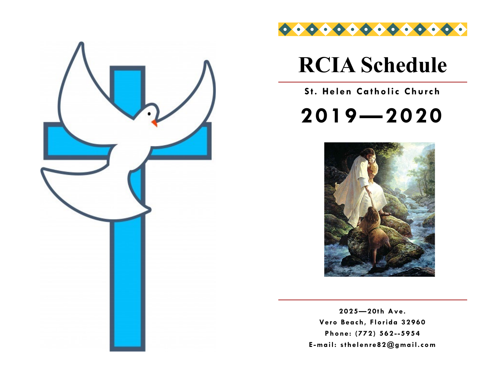



# **RCIA Schedule**

**St. Helen Catholic Church** 

**2019—2020**



**2025—20th Ave. Vero Beach, Florida 32960 Phone: (772) 562 --5954 E -mail: sthelenre82@gmail.com**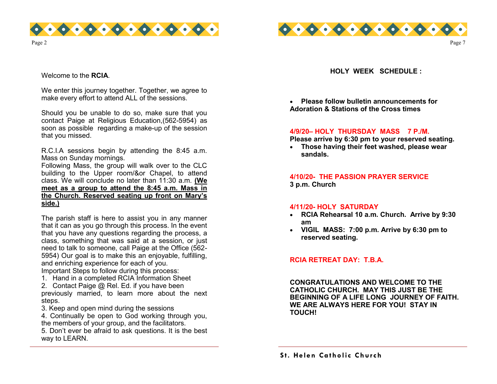



Welcome to the **RCIA**.

We enter this journey together. Together, we agree to make every effort to attend ALL of the sessions.

Should you be unable to do so, make sure that you contact Paige at Religious Education,(562-5954) as soon as possible regarding a make-up of the session that you missed.

R.C.I.A sessions begin by attending the 8:45 a.m. Mass on Sunday mornings.

Following Mass, the group will walk over to the CLC building to the Upper room/&or Chapel, to attend class. We will conclude no later than 11:30 a.m. **(We meet as a group to attend the 8:45 a.m. Mass in the Church. Reserved seating up front on Mary's side.)** 

The parish staff is here to assist you in any manner that it can as you go through this process. In the event that you have any questions regarding the process, a class, something that was said at a session, or just need to talk to someone, call Paige at the Office (562- 5954) Our goal is to make this an enjoyable, fulfilling, and enriching experience for each of you.

Important Steps to follow during this process:

- 1. Hand in a completed RCIA Information Sheet
- 2. Contact Paige @ Rel. Ed. if you have been

previously married, to learn more about the next steps.

3. Keep and open mind during the sessions

4. Continually be open to God working through you, the members of your group, and the facilitators.

5. Don't ever be afraid to ask questions. It is the best way to LEARN.

**HOLY WEEK SCHEDULE :**

Page 7

• **Please follow bulletin announcements for Adoration & Stations of the Cross times** 

#### **4/9/20– HOLY THURSDAY MASS 7 P./M.**

**Please arrive by 6:30 pm to your reserved seating.**

• **Those having their feet washed, please wear sandals.**

**4/10/20- THE PASSION PRAYER SERVICE 3 p.m. Church** 

#### **4/11/20- HOLY SATURDAY**

- **RCIA Rehearsal 10 a.m. Church. Arrive by 9:30 am**
- **VIGIL MASS: 7:00 p.m. Arrive by 6:30 pm to reserved seating.**

#### **RCIA RETREAT DAY: T.B.A.**

**CONGRATULATIONS AND WELCOME TO THE CATHOLIC CHURCH. MAY THIS JUST BE THE BEGINNING OF A LIFE LONG JOURNEY OF FAITH. WE ARE ALWAYS HERE FOR YOU! STAY IN TOUCH!**

**S t. Helen Catholic Church**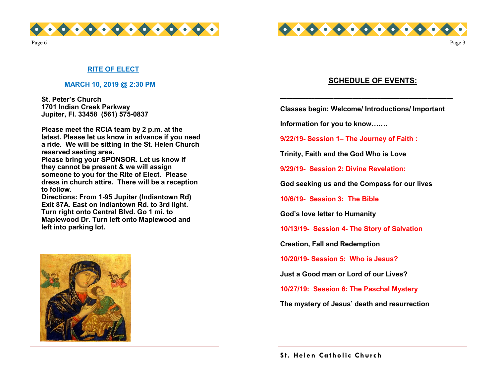



Page 3

Page 6

#### **RITE OF ELECT**

#### **MARCH 10, 2019 @ 2:30 PM**

**St. Peter's Church 1701 Indian Creek Parkway Jupiter, Fl. 33458 (561) 575-0837**

**Please meet the RCIA team by 2 p.m. at the latest. Please let us know in advance if you need a ride. We will be sitting in the St. Helen Church reserved seating area.** 

Please bring your SPONSOR. Let us know if **they cannot be present & we will assign someone to you for the Rite of Elect. Please dress in church attire. There will be a reception to follow.** 

**Directions: From 1-95 Jupiter (Indiantown Rd) Exit 87A. East on Indiantown Rd. to 3rd light. Turn right onto Central Blvd. Go 1 mi. to Maplewood Dr. Turn left onto Maplewood and left into parking lot.** 



### **SCHEDULE OF EVENTS:**

**Classes begin: Welcome/ Introductions/ Important** 

**\_\_\_\_\_\_\_\_\_\_\_\_\_\_\_\_\_\_\_\_\_\_\_\_\_\_\_\_\_\_\_\_\_\_\_\_\_\_\_\_\_\_\_\_\_\_\_\_\_\_\_\_\_\_\_**

**Information for you to know…….**

**9/22/19- Session 1– The Journey of Faith :**

**Trinity, Faith and the God Who is Love**

**9/29/19- Session 2: Divine Revelation:**

**God seeking us and the Compass for our lives**

**10/6/19- Session 3: The Bible**

**God's love letter to Humanity** 

**10/13/19- Session 4- The Story of Salvation** 

**Creation, Fall and Redemption** 

**10/20/19- Session 5: Who is Jesus?** 

**Just a Good man or Lord of our Lives?**

**10/27/19: Session 6: The Paschal Mystery** 

**The mystery of Jesus' death and resurrection**

**S t. Helen Catholic Church**